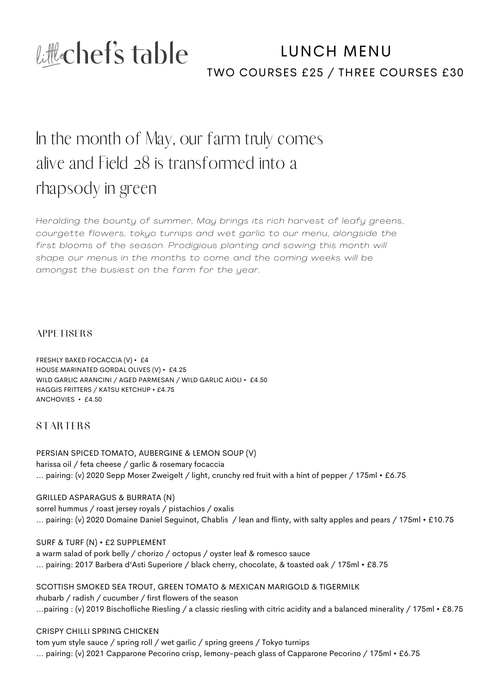

### TWO COURSES £25 / THREE COURSES £30 LUNCH MENU

## In the month of May, our farm truly comes alive and Field 28 is transformed into a rhapsody in green

*Heralding the bounty of summer, May brings its rich harvest of leafy greens, courgette flowers, tokyo turnips and wet garl ic to our menu, alongside the first blooms of the season. Prodigious planting and sowing this month wi l l shape our menus in the months to come and the coming weeks wi l l be amongst the busiest on the farm for the year.*

**APPETISERS** 

FRESHLY BAKED FOCACCIA (V) • £4 HOUSE MARINATED GORDAL OLIVES (V) • £4.25 WILD GARLIC ARANCINI / AGED PARMESAN / WILD GARLIC AIOLI • £4.50 HAGGIS FRITTERS / KATSU KETCHUP • £4.75 ANCHOVIES • £4.50

**STARTERS** 

PERSIAN SPICED TOMATO, AUBERGINE & LEMON SOUP (V) harissa oil / feta cheese / garlic & rosemary focaccia ... pairing: (v) 2020 Sepp Moser Zweigelt / light, crunchy red fruit with a hint of pepper / 175ml • £6.75

GRILLED ASPARAGUS & BURRATA (N) sorrel hummus / roast jersey royals / pistachios / oxalis ... pairing: (v) 2020 Domaine Daniel Seguinot, Chablis / lean and flinty, with salty apples and pears / 175ml • £10.75

SURF & TURF (N) • £2 SUPPLEMENT a warm salad of pork belly / chorizo / octopus / oyster leaf & romesco sauce ... pairing: 2017 Barbera d'Asti Superiore / black cherry, chocolate, & toasted oak / 175ml • £8.75

SCOTTISH SMOKED SEA TROUT, GREEN TOMATO & MEXICAN MARIGOLD & TIGERMILK rhubarb / radish / cucumber / first flowers of the season ...pairing : (v) 2019 Bischofliche Riesling / a classic riesling with citric acidity and a balanced minerality / 175ml • £8.75

CRISPY CHILLI SPRING CHICKEN tom yum style sauce / spring roll / wet garlic / spring greens / Tokyo turnips ... pairing: (v) 2021 Capparone Pecorino crisp, lemony-peach glass of Capparone Pecorino / 175ml • £6.75